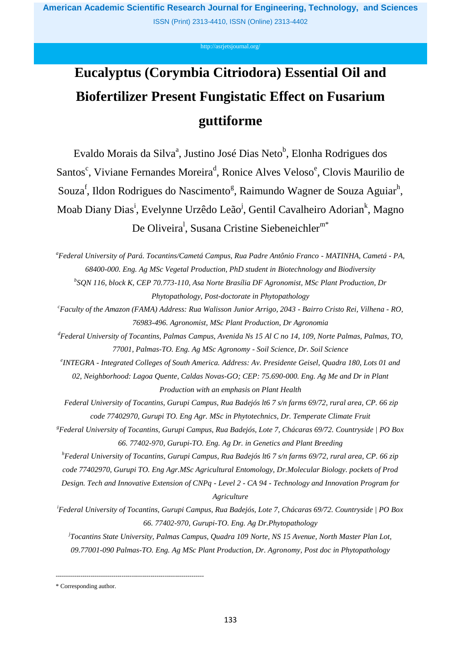<http://asrjetsjournal.org/>

# **Eucalyptus (Corymbia Citriodora) Essential Oil and Biofertilizer Present Fungistatic Effect on Fusarium guttiforme**

Evaldo Morais da Silva<sup>a</sup>, Justino José Dias Neto<sup>b</sup>, Elonha Rodrigues dos Santos<sup>c</sup>, Viviane Fernandes Moreira<sup>d</sup>, Ronice Alves Veloso<sup>e</sup>, Clovis Maurilio de Souza<sup>f</sup>, Ildon Rodrigues do Nascimento<sup>g</sup>, Raimundo Wagner de Souza Aguiar<sup>h</sup>, Moab Diany Dias<sup>i</sup>, Evelynne Urzêdo Leão<sup>j</sup>, Gentil Cavalheiro Adorian<sup>k</sup>, Magno De Oliveira<sup>1</sup>, Susana Cristine Siebeneichler<sup>m\*</sup>

*<sup>a</sup>Federal University of Pará. Tocantins/Cametá Campus, Rua Padre Antônio Franco - MATINHA, Cametá - PA, 68400-000. Eng. Ag MSc Vegetal Production, PhD student in Biotechnology and Biodiversity*

*b SQN 116, block K, CEP 70.773-110, Asa Norte Brasília DF Agronomist, MSc Plant Production, Dr Phytopathology, Post-doctorate in Phytopathology*

*<sup>c</sup>Faculty of the Amazon (FAMA) Address: Rua Walisson Junior Arrigo, 2043 - Bairro Cristo Rei, Vilhena - RO, 76983-496. Agronomist, MSc Plant Production, Dr Agronomia*

*<sup>d</sup>Federal University of Tocantins, Palmas Campus, Avenida Ns 15 Al C no 14, 109, Norte Palmas, Palmas, TO, 77001, Palmas-TO. Eng. Ag MSc Agronomy - Soil Science, Dr. Soil Science*

*e INTEGRA - Integrated Colleges of South America. Address: Av. Presidente Geisel, Quadra 180, Lots 01 and 02, Neighborhood: Lagoa Quente, Caldas Novas-GO; CEP: 75.690-000. Eng. Ag Me and Dr in Plant Production with an emphasis on Plant Health*

*Federal University of Tocantins, Gurupi Campus, Rua Badejós lt6 7 s/n farms 69/72, rural area, CP. 66 zip code 77402970, Gurupi TO. Eng Agr. MSc in Phytotechnics, Dr. Temperate Climate Fruit*

*<sup>g</sup>Federal University of Tocantins, Gurupi Campus, Rua Badejós, Lote 7, Chácaras 69/72. Countryside | PO Box 66. 77402-970, Gurupi-TO. Eng. Ag Dr. in Genetics and Plant Breeding*

*<sup>h</sup>Federal University of Tocantins, Gurupi Campus, Rua Badejós lt6 7 s/n farms 69/72, rural area, CP. 66 zip* 

*code 77402970, Gurupi TO. Eng Agr.MSc Agricultural Entomology, Dr.Molecular Biology. pockets of Prod* 

*Design. Tech and Innovative Extension of CNPq - Level 2 - CA 94 - Technology and Innovation Program for Agriculture*

*<sup>i</sup>Federal University of Tocantins, Gurupi Campus, Rua Badejós, Lote 7, Chácaras 69/72. Countryside | PO Box 66. 77402-970, Gurupi-TO. Eng. Ag Dr.Phytopathology*

*j Tocantins State University, Palmas Campus, Quadra 109 Norte, NS 15 Avenue, North Master Plan Lot, 09.77001-090 Palmas-TO. Eng. Ag MSc Plant Production, Dr. Agronomy, Post doc in Phytopathology*

\* Corresponding author.

------------------------------------------------------------------------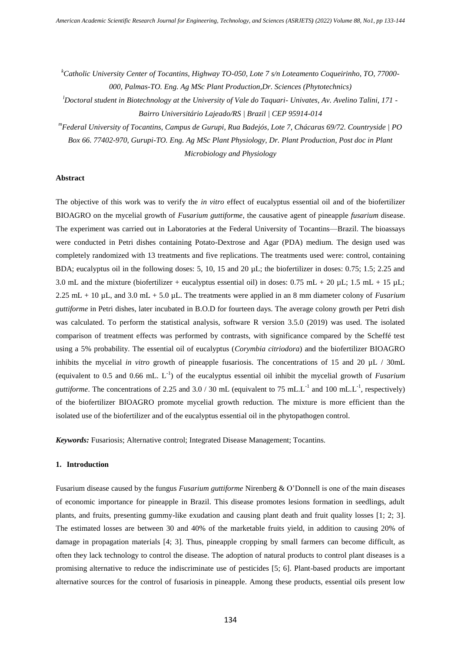*<sup>k</sup>Catholic University Center of Tocantins, Highway TO-050, Lote 7 s/n Loteamento Coqueirinho, TO, 77000- 000, Palmas-TO. Eng. Ag MSc Plant Production,Dr. Sciences (Phytotechnics)*

*<sup>l</sup>Doctoral student in Biotechnology at the University of Vale do Taquari- Univates, Av. Avelino Talini, 171 - Bairro Universitário Lajeado/RS | Brazil | CEP 95914-014*

*<sup>m</sup>Federal University of Tocantins, Campus de Gurupi, Rua Badejós, Lote 7, Chácaras 69/72. Countryside | PO* 

*Box 66. 77402-970, Gurupi-TO. Eng. Ag MSc Plant Physiology, Dr. Plant Production, Post doc in Plant Microbiology and Physiology*

#### **Abstract**

The objective of this work was to verify the *in vitro* effect of eucalyptus essential oil and of the biofertilizer BIOAGRO on the mycelial growth of *Fusarium guttiforme*, the causative agent of pineapple *fusarium* disease. The experiment was carried out in Laboratories at the Federal University of Tocantins—Brazil. The bioassays were conducted in Petri dishes containing Potato-Dextrose and Agar (PDA) medium. The design used was completely randomized with 13 treatments and five replications. The treatments used were: control, containing BDA; eucalyptus oil in the following doses: 5, 10, 15 and 20 µL; the biofertilizer in doses: 0.75; 1.5; 2.25 and 3.0 mL and the mixture (biofertilizer + eucalyptus essential oil) in doses:  $0.75$  mL +  $20 \mu L$ ; 1.5 mL + 15  $\mu L$ ; 2.25 mL + 10 µL, and 3.0 mL + 5.0 µL. The treatments were applied in an 8 mm diameter colony of *Fusarium guttiforme* in Petri dishes, later incubated in B.O.D for fourteen days. The average colony growth per Petri dish was calculated. To perform the statistical analysis, software R version 3.5.0 (2019) was used. The isolated comparison of treatment effects was performed by contrasts, with significance compared by the Scheffé test using a 5% probability. The essential oil of eucalyptus (*Corymbia citriodora*) and the biofertilizer BIOAGRO inhibits the mycelial *in vitro* growth of pineapple fusariosis. The concentrations of 15 and 20  $\mu$ L / 30mL (equivalent to  $0.5$  and  $0.66$  mL.  $L^{-1}$ ) of the eucalyptus essential oil inhibit the mycelial growth of *Fusarium guttiforme*. The concentrations of 2.25 and 3.0 / 30 mL (equivalent to 75 mL.L<sup>-1</sup> and 100 mL.L<sup>-1</sup>, respectively) of the biofertilizer BIOAGRO promote mycelial growth reduction. The mixture is more efficient than the isolated use of the biofertilizer and of the eucalyptus essential oil in the phytopathogen control.

*Keywords:* Fusariosis; Alternative control; Integrated Disease Management; Tocantins.

## **1. Introduction**

Fusarium disease caused by the fungus *Fusarium guttiforme* Nirenberg & O'Donnell is one of the main diseases of economic importance for pineapple in Brazil. This disease promotes lesions formation in seedlings, adult plants, and fruits, presenting gummy-like exudation and causing plant death and fruit quality losses [1; 2; 3]. The estimated losses are between 30 and 40% of the marketable fruits yield, in addition to causing 20% of damage in propagation materials [4; 3]. Thus, pineapple cropping by small farmers can become difficult, as often they lack technology to control the disease. The adoption of natural products to control plant diseases is a promising alternative to reduce the indiscriminate use of pesticides [5; 6]. Plant-based products are important alternative sources for the control of fusariosis in pineapple. Among these products, essential oils present low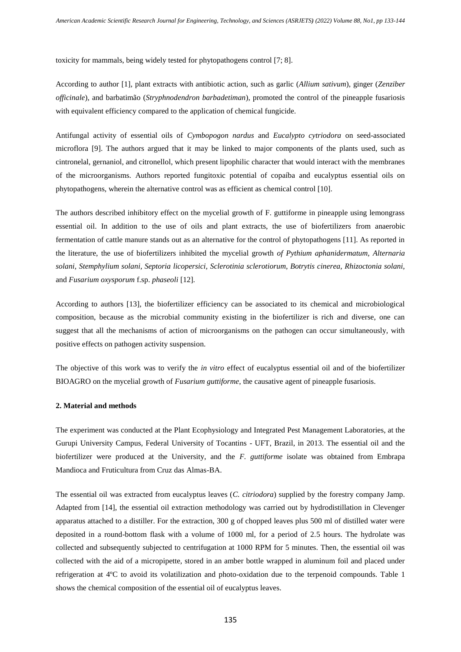toxicity for mammals, being widely tested for phytopathogens control [7; 8].

According to author [1], plant extracts with antibiotic action, such as garlic (*Allium sativum*), ginger (*Zenziber officinale*), and barbatimão (*Stryphnodendron barbadetiman*), promoted the control of the pineapple fusariosis with equivalent efficiency compared to the application of chemical fungicide.

Antifungal activity of essential oils of *Cymbopogon nardus* and *Eucalypto cytriodora* on seed-associated microflora [9]. The authors argued that it may be linked to major components of the plants used, such as cintronelal, gernaniol, and citronellol, which present lipophilic character that would interact with the membranes of the microorganisms. Authors reported fungitoxic potential of copaíba and eucalyptus essential oils on phytopathogens, wherein the alternative control was as efficient as chemical control [10].

The authors described inhibitory effect on the mycelial growth of F. guttiforme in pineapple using lemongrass essential oil. In addition to the use of oils and plant extracts, the use of biofertilizers from anaerobic fermentation of cattle manure stands out as an alternative for the control of phytopathogens [11]. As reported in the literature, the use of biofertilizers inhibited the mycelial growth *of Pythium aphanidermatum, Alternaria solani, Stemphylium solani, Septoria licopersici, Sclerotinia sclerotiorum, Botrytis cinerea, Rhizoctonia solani,*  and *Fusarium oxysporum* f.sp. *phaseoli* [12].

According to authors [13], the biofertilizer efficiency can be associated to its chemical and microbiological composition, because as the microbial community existing in the biofertilizer is rich and diverse, one can suggest that all the mechanisms of action of microorganisms on the pathogen can occur simultaneously, with positive effects on pathogen activity suspension.

The objective of this work was to verify the *in vitro* effect of eucalyptus essential oil and of the biofertilizer BIOAGRO on the mycelial growth of *Fusarium guttiforme*, the causative agent of pineapple fusariosis.

## **2. Material and methods**

The experiment was conducted at the Plant Ecophysiology and Integrated Pest Management Laboratories, at the Gurupi University Campus, Federal University of Tocantins - UFT, Brazil, in 2013. The essential oil and the biofertilizer were produced at the University, and the *F. guttiforme* isolate was obtained from Embrapa Mandioca and Fruticultura from Cruz das Almas-BA.

The essential oil was extracted from eucalyptus leaves (*C. citriodora*) supplied by the forestry company Jamp. Adapted from [14], the essential oil extraction methodology was carried out by hydrodistillation in Clevenger apparatus attached to a distiller. For the extraction, 300 g of chopped leaves plus 500 ml of distilled water were deposited in a round-bottom flask with a volume of 1000 ml, for a period of 2.5 hours. The hydrolate was collected and subsequently subjected to centrifugation at 1000 RPM for 5 minutes. Then, the essential oil was collected with the aid of a micropipette, stored in an amber bottle wrapped in aluminum foil and placed under refrigeration at 4ºC to avoid its volatilization and photo-oxidation due to the terpenoid compounds. Table 1 shows the chemical composition of the essential oil of eucalyptus leaves.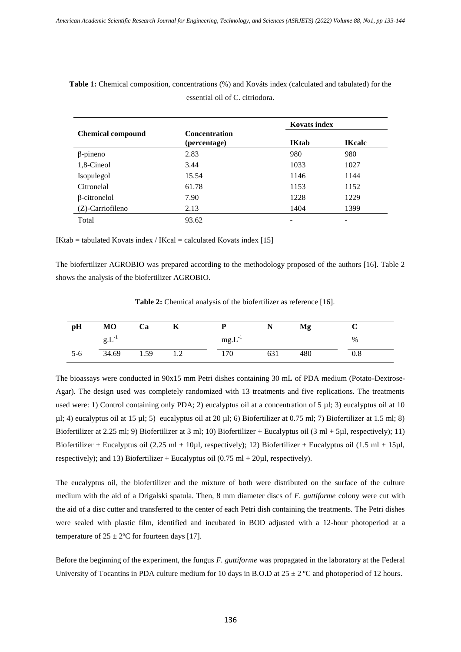|                          |                                      | <b>Kovats index</b> |               |  |  |  |
|--------------------------|--------------------------------------|---------------------|---------------|--|--|--|
| <b>Chemical compound</b> | <b>Concentration</b><br>(percentage) | <b>IKtab</b>        | <b>IKcalc</b> |  |  |  |
| $\beta$ -pineno          | 2.83                                 | 980                 | 980           |  |  |  |
| 1,8-Cineol               | 3.44                                 | 1033                | 1027          |  |  |  |
| Isopulegol               | 15.54                                | 1146                | 1144          |  |  |  |
| Citronelal               | 61.78                                | 1153                | 1152          |  |  |  |
| β-citronelol             | 7.90                                 | 1228                | 1229          |  |  |  |
| (Z)-Carriofileno         | 2.13                                 | 1404                | 1399          |  |  |  |
| Total                    | 93.62                                |                     |               |  |  |  |

**Table 1:** Chemical composition, concentrations (%) and Kováts index (calculated and tabulated) for the essential oil of C. citriodora.

 $IKtab = tabulated Kovats index / Kcal = calculated Kovats index [15]$ 

The biofertilizer AGROBIO was prepared according to the methodology proposed of the authors [16]. Table 2 shows the analysis of the biofertilizer AGROBIO.

**Table 2:** Chemical analysis of the biofertilizer as reference [16].

| pH    | M <sub>O</sub> | Ca   | n       |             |     | Mg  |          |
|-------|----------------|------|---------|-------------|-----|-----|----------|
|       | g.L            |      |         | $mg.L^{-1}$ |     |     | %        |
| $5-6$ | 34.69          | 1.59 | $\cdot$ | 170         | 631 | 480 | $_{0.8}$ |

The bioassays were conducted in 90x15 mm Petri dishes containing 30 mL of PDA medium (Potato-Dextrose-Agar). The design used was completely randomized with 13 treatments and five replications. The treatments used were: 1) Control containing only PDA; 2) eucalyptus oil at a concentration of 5 µl; 3) eucalyptus oil at 10  $\mu$ l; 4) eucalyptus oil at 15  $\mu$ l; 5) eucalyptus oil at 20  $\mu$ l; 6) Biofertilizer at 0.75 ml; 7) Biofertilizer at 1.5 ml; 8) Biofertilizer at 2.25 ml; 9) Biofertilizer at 3 ml; 10) Biofertilizer + Eucalyptus oil (3 ml + 5µl, respectively); 11) Biofertilizer + Eucalyptus oil (2.25 ml + 10µl, respectively); 12) Biofertilizer + Eucalyptus oil (1.5 ml + 15µl, respectively); and 13) Biofertilizer + Eucalyptus oil  $(0.75 \text{ ml} + 20 \mu l$ , respectively).

The eucalyptus oil, the biofertilizer and the mixture of both were distributed on the surface of the culture medium with the aid of a Drigalski spatula. Then, 8 mm diameter discs of *F. guttiforme* colony were cut with the aid of a disc cutter and transferred to the center of each Petri dish containing the treatments. The Petri dishes were sealed with plastic film, identified and incubated in BOD adjusted with a 12-hour photoperiod at a temperature of  $25 \pm 2$ °C for fourteen days [17].

Before the beginning of the experiment, the fungus *F. guttiforme* was propagated in the laboratory at the Federal University of Tocantins in PDA culture medium for 10 days in B.O.D at  $25 \pm 2$  °C and photoperiod of 12 hours.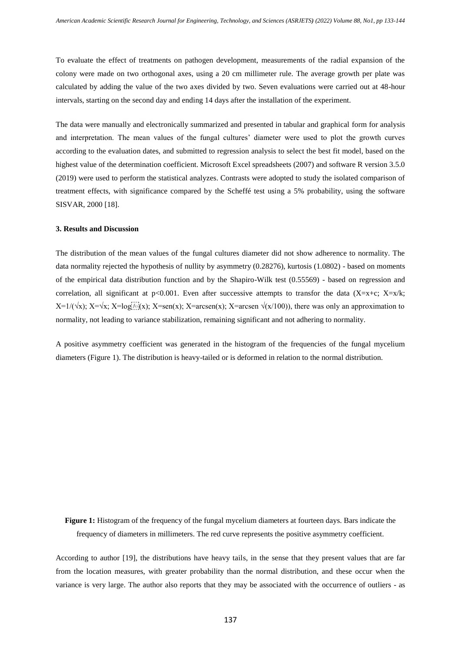To evaluate the effect of treatments on pathogen development, measurements of the radial expansion of the colony were made on two orthogonal axes, using a 20 cm millimeter rule. The average growth per plate was calculated by adding the value of the two axes divided by two. Seven evaluations were carried out at 48-hour intervals, starting on the second day and ending 14 days after the installation of the experiment.

The data were manually and electronically summarized and presented in tabular and graphical form for analysis and interpretation. The mean values of the fungal cultures' diameter were used to plot the growth curves according to the evaluation dates, and submitted to regression analysis to select the best fit model, based on the highest value of the determination coefficient. Microsoft Excel spreadsheets (2007) and software R version 3.5.0 (2019) were used to perform the statistical analyzes. Contrasts were adopted to study the isolated comparison of treatment effects, with significance compared by the Scheffé test using a 5% probability, using the software SISVAR, 2000 [18].

# **3. Results and Discussion**

The distribution of the mean values of the fungal cultures diameter did not show adherence to normality. The data normality rejected the hypothesis of nullity by asymmetry (0.28276), kurtosis (1.0802) - based on moments of the empirical data distribution function and by the Shapiro-Wilk test (0.55569) - based on regression and correlation, all significant at  $p<0.001$ . Even after successive attempts to transfor the data (X=x+c; X=x/k;  $X=1/(\sqrt{x})$ ;  $X=\sqrt{x}$ ;  $X=\log(i)/x$ ;  $X=\sec(x)$ ;  $X=\arcsin(x)$ ;  $X=\arcsin(\sqrt{x/100})$ , there was only an approximation to normality, not leading to variance stabilization, remaining significant and not adhering to normality.

A positive asymmetry coefficient was generated in the histogram of the frequencies of the fungal mycelium diameters (Figure 1). The distribution is heavy-tailed or is deformed in relation to the normal distribution.

**Figure 1:** Histogram of the frequency of the fungal mycelium diameters at fourteen days. Bars indicate the frequency of diameters in millimeters. The red curve represents the positive asymmetry coefficient.

According to author [19], the distributions have heavy tails, in the sense that they present values that are far from the location measures, with greater probability than the normal distribution, and these occur when the variance is very large. The author also reports that they may be associated with the occurrence of outliers - as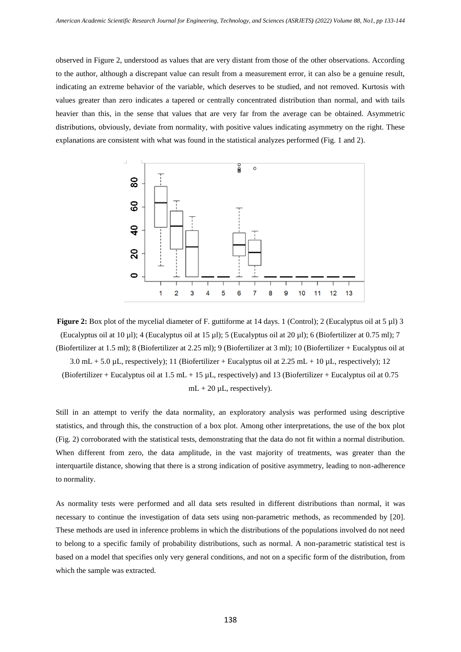observed in Figure 2, understood as values that are very distant from those of the other observations. According to the author, although a discrepant value can result from a measurement error, it can also be a genuine result, indicating an extreme behavior of the variable, which deserves to be studied, and not removed. Kurtosis with values greater than zero indicates a tapered or centrally concentrated distribution than normal, and with tails heavier than this, in the sense that values that are very far from the average can be obtained. Asymmetric distributions, obviously, deviate from normality, with positive values indicating asymmetry on the right. These explanations are consistent with what was found in the statistical analyzes performed (Fig. 1 and 2).



**Figure 2:** Box plot of the mycelial diameter of F. guttiforme at 14 days. 1 (Control); 2 (Eucalyptus oil at 5 µl) 3 (Eucalyptus oil at 10 µl); 4 (Eucalyptus oil at 15 µl); 5 (Eucalyptus oil at 20 µl); 6 (Biofertilizer at 0.75 ml); 7 (Biofertilizer at 1.5 ml); 8 (Biofertilizer at 2.25 ml); 9 (Biofertilizer at 3 ml); 10 (Biofertilizer + Eucalyptus oil at

 $3.0 \text{ mL} + 5.0 \text{ }\mu\text{L}$ , respectively); 11 (Biofertilizer + Eucalyptus oil at 2.25 mL + 10  $\mu\text{L}$ , respectively); 12 (Biofertilizer + Eucalyptus oil at  $1.5$  mL + 15  $\mu$ L, respectively) and 13 (Biofertilizer + Eucalyptus oil at 0.75  $mL + 20 \mu L$ , respectively).

Still in an attempt to verify the data normality, an exploratory analysis was performed using descriptive statistics, and through this, the construction of a box plot. Among other interpretations, the use of the box plot (Fig. 2) corroborated with the statistical tests, demonstrating that the data do not fit within a normal distribution. When different from zero, the data amplitude, in the vast majority of treatments, was greater than the interquartile distance, showing that there is a strong indication of positive asymmetry, leading to non-adherence to normality.

As normality tests were performed and all data sets resulted in different distributions than normal, it was necessary to continue the investigation of data sets using non-parametric methods, as recommended by [20]. These methods are used in inference problems in which the distributions of the populations involved do not need to belong to a specific family of probability distributions, such as normal. A non-parametric statistical test is based on a model that specifies only very general conditions, and not on a specific form of the distribution, from which the sample was extracted.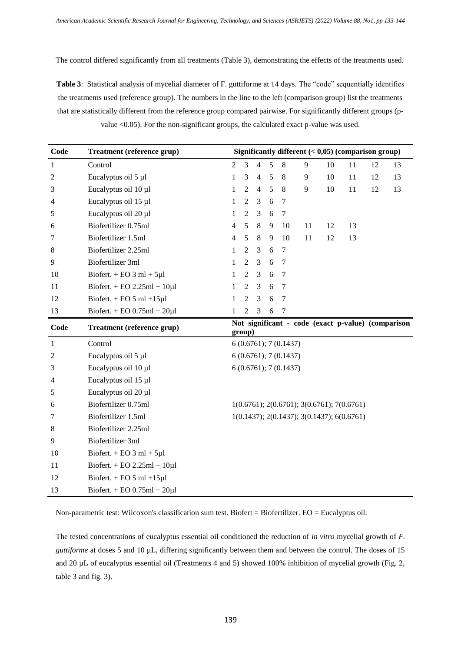The control differed significantly from all treatments (Table 3), demonstrating the effects of the treatments used.

**Table 3**: Statistical analysis of mycelial diameter of F. guttiforme at 14 days. The "code" sequentially identifies the treatments used (reference group). The numbers in the line to the left (comparison group) list the treatments that are statistically different from the reference group compared pairwise. For significantly different groups (pvalue <0.05). For the non-significant groups, the calculated exact p-value was used.

| Code | <b>Treatment (reference grup)</b>    | Significantly different $(0,05)$ (comparison group)          |                |                |   |                      |    |    |                                              |    |    |
|------|--------------------------------------|--------------------------------------------------------------|----------------|----------------|---|----------------------|----|----|----------------------------------------------|----|----|
| 1    | Control                              | $\overline{2}$                                               | 3              | $\overline{4}$ | 5 | 8                    | 9  | 10 | 11                                           | 12 | 13 |
| 2    | Eucalyptus oil 5 µl                  | $\mathbf{1}$                                                 | 3              | $\overline{4}$ | 5 | 8                    | 9  | 10 | 11                                           | 12 | 13 |
| 3    | Eucalyptus oil 10 µl                 | 1                                                            | $\mathfrak{2}$ | $\overline{4}$ | 5 | 8                    | 9  | 10 | 11                                           | 12 | 13 |
| 4    | Eucalyptus oil 15 µl                 | 1                                                            | 2              | 3              | 6 | 7                    |    |    |                                              |    |    |
| 5    | Eucalyptus oil 20 µl                 | $\mathbf{1}$                                                 | 2              | 3              | 6 | $\tau$               |    |    |                                              |    |    |
| 6    | Biofertilizer 0.75ml                 | 4                                                            | 5              | 8              | 9 | 10                   | 11 | 12 | 13                                           |    |    |
| 7    | Biofertilizer 1.5ml                  | 4                                                            | $\sqrt{5}$     | $8\,$          | 9 | 10                   | 11 | 12 | 13                                           |    |    |
| 8    | Biofertilizer 2.25ml                 | 1                                                            | 2              | 3              | 6 | 7                    |    |    |                                              |    |    |
| 9    | <b>Biofertilizer 3ml</b>             | 1                                                            | $\mathfrak{2}$ | 3              | 6 | $\overline{7}$       |    |    |                                              |    |    |
| 10   | Biofert. $+$ EO 3 ml $+$ 5 $\mu$ l   | 1                                                            | $\overline{2}$ | 3              | 6 | $\tau$               |    |    |                                              |    |    |
| 11   | Biofert. + EO $2.25ml + 10µl$        | 1                                                            | $\overline{2}$ | 3              | 6 | $\tau$               |    |    |                                              |    |    |
| 12   | Biofert. $+$ EO 5 ml $+15\mu$ l      | $\mathbf{1}$                                                 | $\mathfrak{2}$ | 3              | 6 | $\tau$               |    |    |                                              |    |    |
| 13   | Biofert. + EO $0.75$ ml + $20 \mu$ l | 1                                                            | 2              | 3              | 6 | $\overline{7}$       |    |    |                                              |    |    |
|      |                                      | Not significant - code (exact p-value) (comparison<br>group) |                |                |   |                      |    |    |                                              |    |    |
| Code | <b>Treatment (reference grup)</b>    |                                                              |                |                |   |                      |    |    |                                              |    |    |
| 1    | Control                              |                                                              |                |                |   | 6(0.6761); 7(0.1437) |    |    |                                              |    |    |
| 2    | Eucalyptus oil 5 µl                  |                                                              |                |                |   | 6(0.6761); 7(0.1437) |    |    |                                              |    |    |
| 3    | Eucalyptus oil 10 µl                 |                                                              |                |                |   | 6(0.6761); 7(0.1437) |    |    |                                              |    |    |
| 4    | Eucalyptus oil 15 µl                 |                                                              |                |                |   |                      |    |    |                                              |    |    |
| 5    | Eucalyptus oil 20 µl                 |                                                              |                |                |   |                      |    |    |                                              |    |    |
| 6    | Biofertilizer 0.75ml                 |                                                              |                |                |   |                      |    |    | $1(0.6761); 2(0.6761); 3(0.6761); 7(0.6761)$ |    |    |
| 7    | Biofertilizer 1.5ml                  |                                                              |                |                |   |                      |    |    | $1(0.1437); 2(0.1437); 3(0.1437); 6(0.6761)$ |    |    |
| 8    | Biofertilizer 2.25ml                 |                                                              |                |                |   |                      |    |    |                                              |    |    |
| 9    | Biofertilizer 3ml                    |                                                              |                |                |   |                      |    |    |                                              |    |    |
| 10   | Biofert. $+$ EO 3 ml $+$ 5 $\mu$ l   |                                                              |                |                |   |                      |    |    |                                              |    |    |
| 11   | Biofert. + EO $2.25ml + 10µl$        |                                                              |                |                |   |                      |    |    |                                              |    |    |
| 12   | Biofert. $+$ EO 5 ml $+15\mu$ l      |                                                              |                |                |   |                      |    |    |                                              |    |    |

Non-parametric test: Wilcoxon's classification sum test. Biofert = Biofertilizer. EO = Eucalyptus oil.

The tested concentrations of eucalyptus essential oil conditioned the reduction of *in vitro* mycelial growth of *F. guttiforme* at doses 5 and 10 µL, differing significantly between them and between the control. The doses of 15 and 20  $\mu$ L of eucalyptus essential oil (Treatments 4 and 5) showed 100% inhibition of mycelial growth (Fig. 2, table 3 and fig. 3).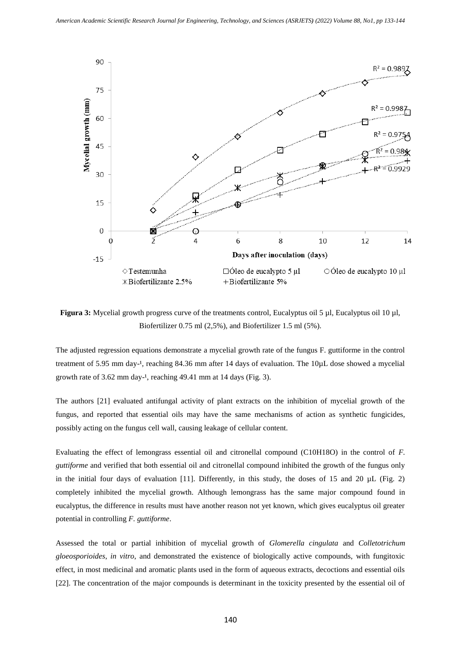

**Figura 3:** Mycelial growth progress curve of the treatments control, Eucalyptus oil 5 µl, Eucalyptus oil 10 µl, Biofertilizer 0.75 ml (2,5%), and Biofertilizer 1.5 ml (5%).

The adjusted regression equations demonstrate a mycelial growth rate of the fungus F. guttiforme in the control treatment of 5.95 mm day-<sup>1</sup>, reaching 84.36 mm after 14 days of evaluation. The 10µL dose showed a mycelial growth rate of  $3.62$  mm day-<sup>1</sup>, reaching  $49.41$  mm at  $14$  days (Fig. 3).

The authors [21] evaluated antifungal activity of plant extracts on the inhibition of mycelial growth of the fungus, and reported that essential oils may have the same mechanisms of action as synthetic fungicides, possibly acting on the fungus cell wall, causing leakage of cellular content.

Evaluating the effect of lemongrass essential oil and citronellal compound (C10H18O) in the control of *F. guttiforme* and verified that both essential oil and citronellal compound inhibited the growth of the fungus only in the initial four days of evaluation [11]. Differently, in this study, the doses of 15 and 20  $\mu$ L (Fig. 2) completely inhibited the mycelial growth. Although lemongrass has the same major compound found in eucalyptus, the difference in results must have another reason not yet known, which gives eucalyptus oil greater potential in controlling *F. guttiforme*.

Assessed the total or partial inhibition of mycelial growth of *Glomerella cingulata* and *Colletotrichum gloeosporioides*, *in vitro*, and demonstrated the existence of biologically active compounds, with fungitoxic effect, in most medicinal and aromatic plants used in the form of aqueous extracts, decoctions and essential oils [22]. The concentration of the major compounds is determinant in the toxicity presented by the essential oil of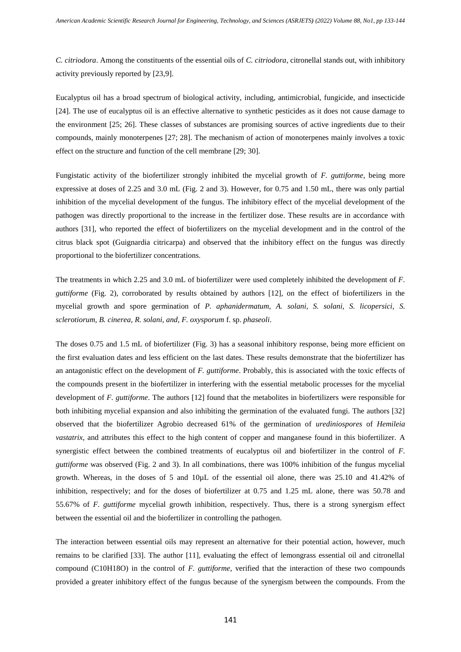*C. citriodora*. Among the constituents of the essential oils of *C. citriodora*, citronellal stands out, with inhibitory activity previously reported by [23,9].

Eucalyptus oil has a broad spectrum of biological activity, including, antimicrobial, fungicide, and insecticide [24]. The use of eucalyptus oil is an effective alternative to synthetic pesticides as it does not cause damage to the environment [25; 26]. These classes of substances are promising sources of active ingredients due to their compounds, mainly monoterpenes [27; 28]. The mechanism of action of monoterpenes mainly involves a toxic effect on the structure and function of the cell membrane [29; 30].

Fungistatic activity of the biofertilizer strongly inhibited the mycelial growth of *F. guttiforme*, being more expressive at doses of 2.25 and 3.0 mL (Fig. 2 and 3). However, for 0.75 and 1.50 mL, there was only partial inhibition of the mycelial development of the fungus. The inhibitory effect of the mycelial development of the pathogen was directly proportional to the increase in the fertilizer dose. These results are in accordance with authors [31], who reported the effect of biofertilizers on the mycelial development and in the control of the citrus black spot (Guignardia citricarpa) and observed that the inhibitory effect on the fungus was directly proportional to the biofertilizer concentrations.

The treatments in which 2.25 and 3.0 mL of biofertilizer were used completely inhibited the development of *F. guttiforme* (Fig. 2), corroborated by results obtained by authors [12], on the effect of biofertilizers in the mycelial growth and spore germination of *P. aphanidermatum, A. solani, S. solani, S. licopersici, S. sclerotiorum, B. cinerea, R. solani, and, F. oxysporum* f. sp. *phaseoli*.

The doses 0.75 and 1.5 mL of biofertilizer (Fig. 3) has a seasonal inhibitory response, being more efficient on the first evaluation dates and less efficient on the last dates. These results demonstrate that the biofertilizer has an antagonistic effect on the development of *F. guttiforme*. Probably, this is associated with the toxic effects of the compounds present in the biofertilizer in interfering with the essential metabolic processes for the mycelial development of *F. guttiforme*. The authors [12] found that the metabolites in biofertilizers were responsible for both inhibiting mycelial expansion and also inhibiting the germination of the evaluated fungi. The authors [32] observed that the biofertilizer Agrobio decreased 61% of the germination of *urediniospores* of *Hemileia vastatrix*, and attributes this effect to the high content of copper and manganese found in this biofertilizer. A synergistic effect between the combined treatments of eucalyptus oil and biofertilizer in the control of *F. guttiforme* was observed (Fig. 2 and 3). In all combinations, there was 100% inhibition of the fungus mycelial growth. Whereas, in the doses of 5 and 10µL of the essential oil alone, there was 25.10 and 41.42% of inhibition, respectively; and for the doses of biofertilizer at 0.75 and 1.25 mL alone, there was 50.78 and 55.67% of *F. guttiforme* mycelial growth inhibition, respectively. Thus, there is a strong synergism effect between the essential oil and the biofertilizer in controlling the pathogen.

The interaction between essential oils may represent an alternative for their potential action, however, much remains to be clarified [33]. The author [11], evaluating the effect of lemongrass essential oil and citronellal compound (C10H18O) in the control of *F. guttiforme*, verified that the interaction of these two compounds provided a greater inhibitory effect of the fungus because of the synergism between the compounds. From the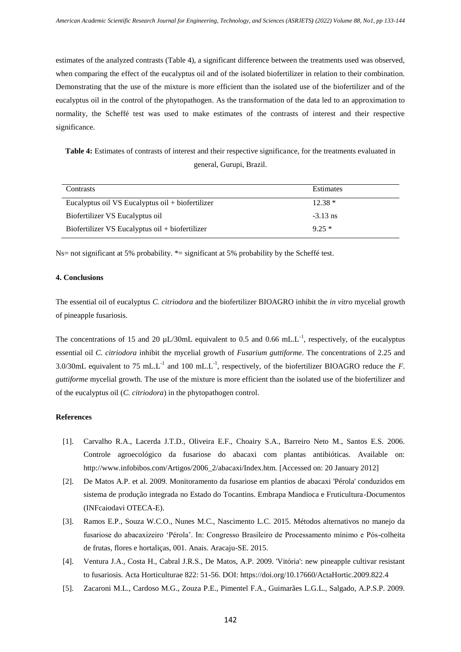estimates of the analyzed contrasts (Table 4), a significant difference between the treatments used was observed, when comparing the effect of the eucalyptus oil and of the isolated biofertilizer in relation to their combination. Demonstrating that the use of the mixture is more efficient than the isolated use of the biofertilizer and of the eucalyptus oil in the control of the phytopathogen. As the transformation of the data led to an approximation to normality, the Scheffé test was used to make estimates of the contrasts of interest and their respective significance.

**Table 4:** Estimates of contrasts of interest and their respective significance, for the treatments evaluated in general, Gurupi, Brazil.

| Contrasts                                          | Estimates  |
|----------------------------------------------------|------------|
| Eucalyptus oil VS Eucalyptus oil $+$ biofertilizer | $12.38*$   |
| Biofertilizer VS Eucalyptus oil                    | $-3.13$ ns |
| Biofertilizer VS Eucalyptus oil + biofertilizer    | $9.25*$    |

Ns= not significant at 5% probability. \*= significant at 5% probability by the Scheffé test.

## **4. Conclusions**

The essential oil of eucalyptus *C. citriodora* and the biofertilizer BIOAGRO inhibit the *in vitro* mycelial growth of pineapple fusariosis.

The concentrations of 15 and 20  $\mu$ L/30mL equivalent to 0.5 and 0.66 mL.L<sup>-1</sup>, respectively, of the eucalyptus essential oil *C. citriodora* inhibit the mycelial growth of *Fusarium guttiforme*. The concentrations of 2.25 and 3.0/30mL equivalent to 75 mL.L<sup>-1</sup> and 100 mL.L<sup>-1</sup>, respectively, of the biofertilizer BIOAGRO reduce the *F*. *guttiforme* mycelial growth. The use of the mixture is more efficient than the isolated use of the biofertilizer and of the eucalyptus oil (*C. citriodora*) in the phytopathogen control.

#### **References**

- [1]. Carvalho R.A., Lacerda J.T.D., Oliveira E.F., Choairy S.A., Barreiro Neto M., Santos E.S. 2006. Controle agroecológico da fusariose do abacaxi com plantas antibióticas. Available on: http://www.infobibos.com/Artigos/2006\_2/abacaxi/Index.htm. [Accessed on: 20 January 2012]
- [2]. De Matos A.P. et al. 2009. Monitoramento da fusariose em plantios de abacaxi 'Pérola' conduzidos em sistema de produção integrada no Estado do Tocantins. Embrapa Mandioca e Fruticultura-Documentos (INFcaiodavi OTECA-E).
- [3]. Ramos E.P., Souza W.C.O., Nunes M.C., Nascimento L.C. 2015. Métodos alternativos no manejo da fusariose do abacaxizeiro 'Pérola'. In: Congresso Brasileiro de Processamento mínimo e Pós-colheita de frutas, flores e hortaliças, 001. Anais. Aracaju-SE. 2015.
- [4]. Ventura J.A., Costa H., Cabral J.R.S., De Matos, A.P. 2009. 'Vitória': new pineapple cultivar resistant to fusariosis. Acta Horticulturae 822: 51-56. DOI[: https://doi.org/10.17660/ActaHortic.2009.822.4](https://doi.org/10.17660/ActaHortic.2009.822.4)
- [5]. Zacaroni M.L., Cardoso M.G., Zouza P.E., Pimentel F.A., Guimarães L.G.L., Salgado, A.P.S.P. 2009.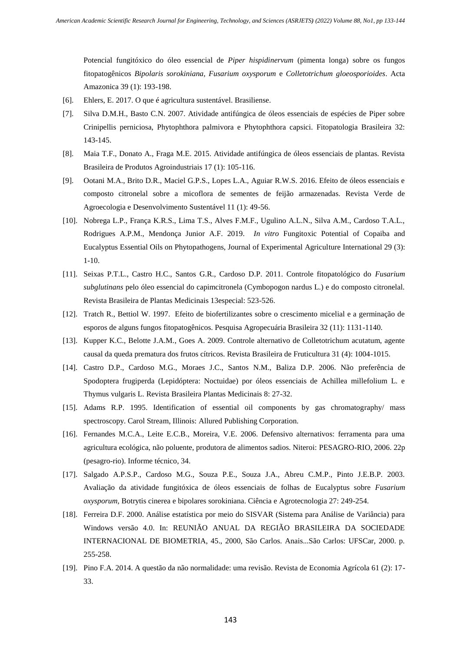Potencial fungitóxico do óleo essencial de *Piper hispidinervum* (pimenta longa) sobre os fungos fitopatogênicos *Bipolaris sorokiniana, Fusarium oxysporum* e *Colletotrichum gloeosporioides*. Acta Amazonica 39 (1): 193-198.

- [6]. Ehlers, E. 2017. O que é agricultura sustentável. Brasiliense.
- [7]. Silva D.M.H., Basto C.N. 2007. Atividade antifúngica de óleos essenciais de espécies de Piper sobre Crinipellis perniciosa, Phytophthora palmivora e Phytophthora capsici. Fitopatologia Brasileira 32: 143-145.
- [8]. Maia T.F., Donato A., Fraga M.E. 2015. Atividade antifúngica de óleos essenciais de plantas. Revista Brasileira de Produtos Agroindustriais 17 (1): 105-116.
- [9]. Ootani M.A., Brito D.R., Maciel G.P.S., Lopes L.A., Aguiar R.W.S. 2016. Efeito de óleos essenciais e composto citronelal sobre a micoflora de sementes de feijão armazenadas. Revista Verde de Agroecologia e Desenvolvimento Sustentável 11 (1): 49-56.
- [10]. Nobrega L.P., França K.R.S., Lima T.S., Alves F.M.F., Ugulino A.L.N., Silva A.M., Cardoso T.A.L., Rodrigues A.P.M., Mendonça Junior A.F. 2019. *In vitro* Fungitoxic Potential of Copaiba and Eucalyptus Essential Oils on Phytopathogens, Journal of Experimental Agriculture International 29 (3): 1-10.
- [11]. Seixas P.T.L., Castro H.C., Santos G.R., Cardoso D.P. 2011. Controle fitopatológico do *Fusarium subglutinans* pelo óleo essencial do capimcitronela (Cymbopogon nardus L.) e do composto citronelal. Revista Brasileira de Plantas Medicinais 13especial: 523-526.
- [12]. Tratch R., Bettiol W. 1997. Efeito de biofertilizantes sobre o crescimento micelial e a germinação de esporos de alguns fungos fitopatogênicos. Pesquisa Agropecuária Brasileira 32 (11): 1131-1140.
- [13]. Kupper K.C., Belotte J.A.M., Goes A. 2009. Controle alternativo de Colletotrichum acutatum, agente causal da queda prematura dos frutos cítricos. Revista Brasileira de Fruticultura 31 (4): 1004-1015.
- [14]. Castro D.P., Cardoso M.G., Moraes J.C., Santos N.M., Baliza D.P. 2006. Não preferência de Spodoptera frugiperda (Lepidóptera: Noctuidae) por óleos essenciais de Achillea millefolium L. e Thymus vulgaris L. Revista Brasileira Plantas Medicinais 8: 27-32.
- [15]. Adams R.P. 1995. Identification of essential oil components by gas chromatography/ mass spectroscopy. Carol Stream, Illinois: Allured Publishing Corporation.
- [16]. Fernandes M.C.A., Leite E.C.B., Moreira, V.E. 2006. Defensivo alternativos: ferramenta para uma agricultura ecológica, não poluente, produtora de alimentos sadios. Niteroi: PESAGRO-RIO, 2006. 22p (pesagro-rio). Informe técnico, 34.
- [17]. Salgado A.P.S.P., Cardoso M.G., Souza P.E., Souza J.A., Abreu C.M.P., Pinto J.E.B.P. 2003. Avaliação da atividade fungitóxica de óleos essenciais de folhas de Eucalyptus sobre *Fusarium oxysporum*, Botrytis cinerea e bipolares sorokiniana. Ciência e Agrotecnologia 27: 249-254.
- [18]. Ferreira D.F. 2000. Análise estatística por meio do SISVAR (Sistema para Análise de Variância) para Windows versão 4.0. In: REUNIÃO ANUAL DA REGIÃO BRASILEIRA DA SOCIEDADE INTERNACIONAL DE BIOMETRIA, 45., 2000, São Carlos. Anais...São Carlos: UFSCar, 2000. p. 255-258.
- [19]. Pino F.A. 2014. A questão da não normalidade: uma revisão. Revista de Economia Agrícola 61 (2): 17- 33.